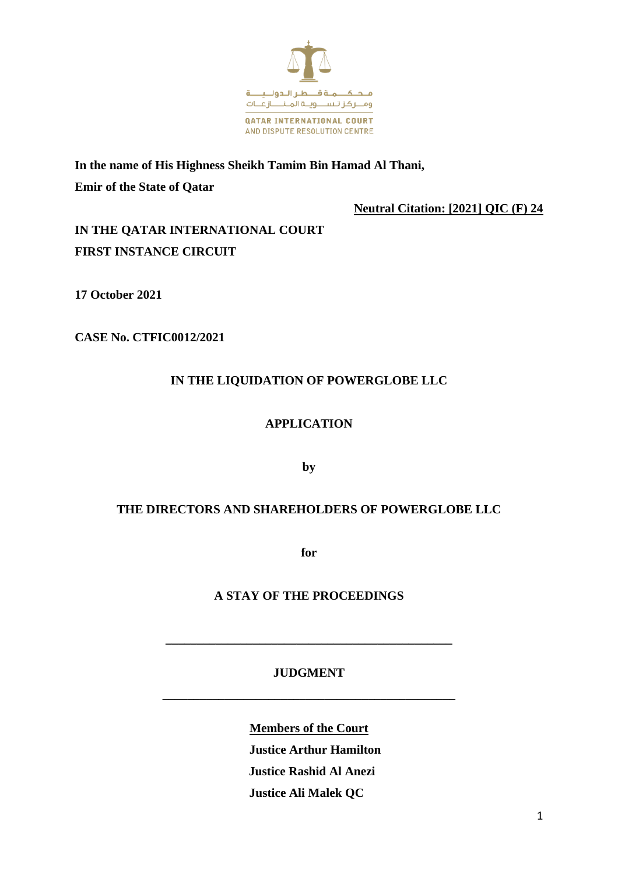

**In the name of His Highness Sheikh Tamim Bin Hamad Al Thani, Emir of the State of Qatar**

**Neutral Citation: [2021] QIC (F) 24**

**IN THE QATAR INTERNATIONAL COURT FIRST INSTANCE CIRCUIT**

**17 October 2021**

**CASE No. CTFIC0012/2021**

# **IN THE LIQUIDATION OF POWERGLOBE LLC**

## **APPLICATION**

**by**

## **THE DIRECTORS AND SHAREHOLDERS OF POWERGLOBE LLC**

**for**

## **A STAY OF THE PROCEEDINGS**

## **JUDGMENT**

**\_\_\_\_\_\_\_\_\_\_\_\_\_\_\_\_\_\_\_\_\_\_\_\_\_\_\_\_\_\_\_\_\_\_\_\_\_\_\_\_\_\_\_\_\_\_\_**

**\_\_\_\_\_\_\_\_\_\_\_\_\_\_\_\_\_\_\_\_\_\_\_\_\_\_\_\_\_\_\_\_\_\_\_\_\_\_\_\_\_\_\_\_\_\_**

**Members of the Court Justice Arthur Hamilton**

 **Justice Rashid Al Anezi**

 **Justice Ali Malek QC**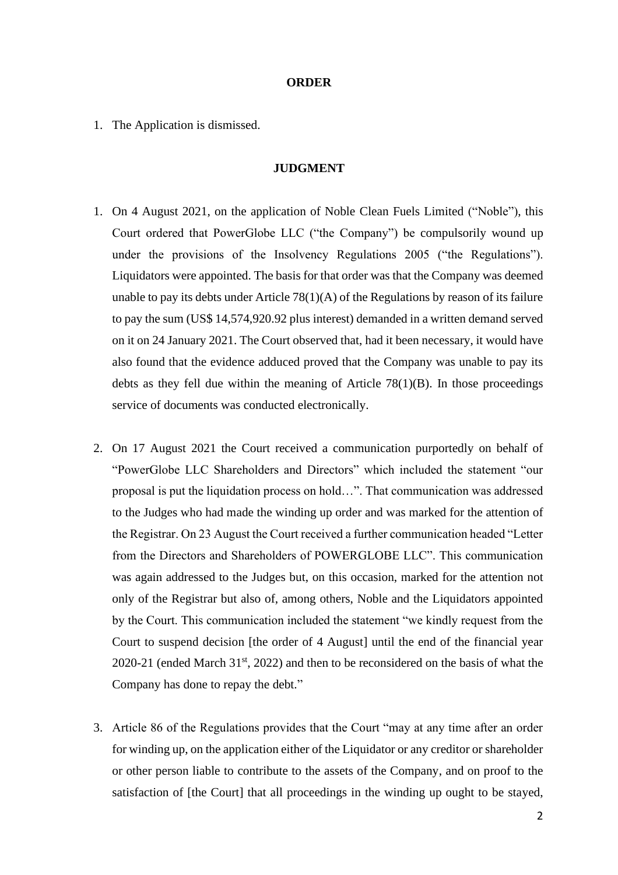#### **ORDER**

1. The Application is dismissed.

#### **JUDGMENT**

- 1. On 4 August 2021, on the application of Noble Clean Fuels Limited ("Noble"), this Court ordered that PowerGlobe LLC ("the Company") be compulsorily wound up under the provisions of the Insolvency Regulations 2005 ("the Regulations"). Liquidators were appointed. The basis for that order was that the Company was deemed unable to pay its debts under Article  $78(1)(A)$  of the Regulations by reason of its failure to pay the sum (US\$ 14,574,920.92 plus interest) demanded in a written demand served on it on 24 January 2021. The Court observed that, had it been necessary, it would have also found that the evidence adduced proved that the Company was unable to pay its debts as they fell due within the meaning of Article  $78(1)(B)$ . In those proceedings service of documents was conducted electronically.
- 2. On 17 August 2021 the Court received a communication purportedly on behalf of "PowerGlobe LLC Shareholders and Directors" which included the statement "our proposal is put the liquidation process on hold…". That communication was addressed to the Judges who had made the winding up order and was marked for the attention of the Registrar. On 23 August the Court received a further communication headed "Letter from the Directors and Shareholders of POWERGLOBE LLC". This communication was again addressed to the Judges but, on this occasion, marked for the attention not only of the Registrar but also of, among others, Noble and the Liquidators appointed by the Court. This communication included the statement "we kindly request from the Court to suspend decision [the order of 4 August] until the end of the financial year 2020-21 (ended March  $31<sup>st</sup>$ , 2022) and then to be reconsidered on the basis of what the Company has done to repay the debt."
- 3. Article 86 of the Regulations provides that the Court "may at any time after an order for winding up, on the application either of the Liquidator or any creditor or shareholder or other person liable to contribute to the assets of the Company, and on proof to the satisfaction of [the Court] that all proceedings in the winding up ought to be stayed,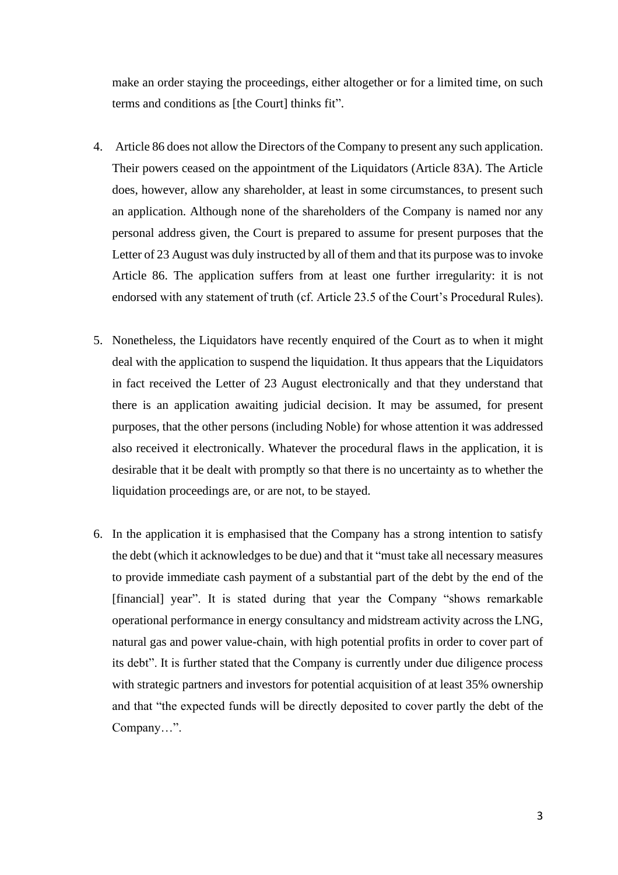make an order staying the proceedings, either altogether or for a limited time, on such terms and conditions as [the Court] thinks fit".

- 4. Article 86 does not allow the Directors of the Company to present any such application. Their powers ceased on the appointment of the Liquidators (Article 83A). The Article does, however, allow any shareholder, at least in some circumstances, to present such an application. Although none of the shareholders of the Company is named nor any personal address given, the Court is prepared to assume for present purposes that the Letter of 23 August was duly instructed by all of them and that its purpose was to invoke Article 86. The application suffers from at least one further irregularity: it is not endorsed with any statement of truth (cf. Article 23.5 of the Court's Procedural Rules).
- 5. Nonetheless, the Liquidators have recently enquired of the Court as to when it might deal with the application to suspend the liquidation. It thus appears that the Liquidators in fact received the Letter of 23 August electronically and that they understand that there is an application awaiting judicial decision. It may be assumed, for present purposes, that the other persons (including Noble) for whose attention it was addressed also received it electronically. Whatever the procedural flaws in the application, it is desirable that it be dealt with promptly so that there is no uncertainty as to whether the liquidation proceedings are, or are not, to be stayed.
- 6. In the application it is emphasised that the Company has a strong intention to satisfy the debt (which it acknowledges to be due) and that it "must take all necessary measures to provide immediate cash payment of a substantial part of the debt by the end of the [financial] year". It is stated during that year the Company "shows remarkable operational performance in energy consultancy and midstream activity across the LNG, natural gas and power value-chain, with high potential profits in order to cover part of its debt". It is further stated that the Company is currently under due diligence process with strategic partners and investors for potential acquisition of at least 35% ownership and that "the expected funds will be directly deposited to cover partly the debt of the Company…".